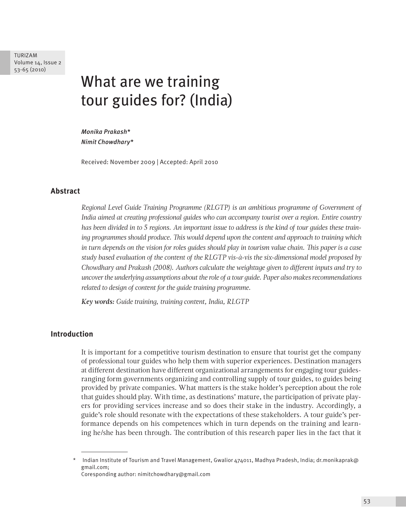TURIZAM Volume 14, Issue 2 53-65 (2010)

# What are we training tour guides for? (India)

*Monika Prakash\* Nimit Chowdhary\**

Received: November 2009 | Accepted: April 2010

## **Abstract**

*Regional Level Guide Training Programme (RLGTP) is an ambitious programme of Government of India aimed at creating professional guides who can accompany tourist over a region. Entire country has been divided in to 5 regions. An important issue to address is the kind of tour guides these training programmes should produce. This would depend upon the content and approach to training which in turn depends on the vision for roles guides should play in tourism value chain. This paper is a case study based evaluation of the content of the RLGTP vis-à-vis the six-dimensional model proposed by Chowdhary and Prakash (2008). Authors calculate the weightage given to different inputs and try to uncover the underlying assumptions about the role of a tour guide. Paper also makes recommendations related to design of content for the guide training programme.*

*Key words: Guide training, training content, India, RLGTP*

### **Introduction**

It is important for a competitive tourism destination to ensure that tourist get the company of professional tour guides who help them with superior experiences. Destination managers at different destination have different organizational arrangements for engaging tour guidesranging form governments organizing and controlling supply of tour guides, to guides being provided by private companies. What matters is the stake holder's perception about the role that guides should play. With time, as destinations' mature, the participation of private players for providing services increase and so does their stake in the industry. Accordingly, a guide's role should resonate with the expectations of these stakeholders. A tour guide's performance depends on his competences which in turn depends on the training and learning he/she has been through. The contribution of this research paper lies in the fact that it

Coresponding author: nimitchowdhary@gmail.com

Indian Institute of Tourism and Travel Management, Gwalior 474011, Madhya Pradesh, India; dr.monikaprak@ gmail.com;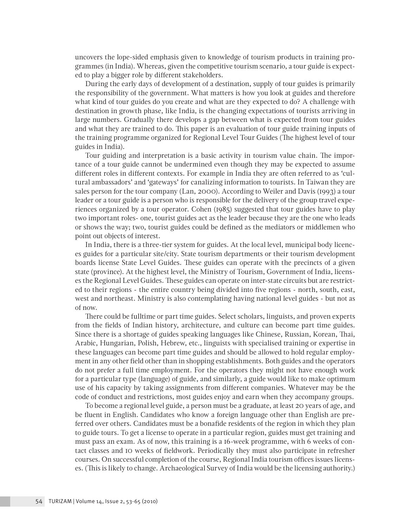uncovers the lope-sided emphasis given to knowledge of tourism products in training programmes (in India). Whereas, given the competitive tourism scenario, a tour guide is expected to play a bigger role by different stakeholders.

During the early days of development of a destination, supply of tour guides is primarily the responsibility of the government. What matters is how you look at guides and therefore what kind of tour guides do you create and what are they expected to do? A challenge with destination in growth phase, like India, is the changing expectations of tourists arriving in large numbers. Gradually there develops a gap between what is expected from tour guides and what they are trained to do. This paper is an evaluation of tour guide training inputs of the training programme organized for Regional Level Tour Guides (The highest level of tour guides in India).

Tour guiding and interpretation is a basic activity in tourism value chain. The importance of a tour guide cannot be undermined even though they may be expected to assume different roles in different contexts. For example in India they are often referred to as 'cultural ambassadors' and 'gateways' for canalizing information to tourists. In Taiwan they are sales person for the tour company (Lan, 2000). According to Weiler and Davis (1993) a tour leader or a tour guide is a person who is responsible for the delivery of the group travel experiences organized by a tour operator. Cohen (1985) suggested that tour guides have to play two important roles- one, tourist guides act as the leader because they are the one who leads or shows the way; two, tourist guides could be defined as the mediators or middlemen who point out objects of interest.

In India, there is a three-tier system for guides. At the local level, municipal body licences guides for a particular site/city. State tourism departments or their tourism development boards license State Level Guides. These guides can operate with the precincts of a given state (province). At the highest level, the Ministry of Tourism, Government of India, licenses the Regional Level Guides. These guides can operate on inter-state circuits but are restricted to their regions - the entire country being divided into five regions - north, south, east, west and northeast. Ministry is also contemplating having national level guides - but not as of now.

There could be fulltime or part time guides. Select scholars, linguists, and proven experts from the fields of Indian history, architecture, and culture can become part time guides. Since there is a shortage of guides speaking languages like Chinese, Russian, Korean, Thai, Arabic, Hungarian, Polish, Hebrew, etc., linguists with specialised training or expertise in these languages can become part time guides and should be allowed to hold regular employment in any other field other than in shopping establishments. Both guides and the operators do not prefer a full time employment. For the operators they might not have enough work for a particular type (language) of guide, and similarly, a guide would like to make optimum use of his capacity by taking assignments from different companies. Whatever may be the code of conduct and restrictions, most guides enjoy and earn when they accompany groups.

To become a regional level guide, a person must be a graduate, at least 20 years of age, and be fluent in English. Candidates who know a foreign language other than English are preferred over others. Candidates must be a bonafide residents of the region in which they plan to guide tours. To get a license to operate in a particular region, guides must get training and must pass an exam. As of now, this training is a 16-week programme, with 6 weeks of contact classes and 10 weeks of fieldwork. Periodically they must also participate in refresher courses. On successful completion of the course, Regional India tourism offices issues licenses. (This is likely to change. Archaeological Survey of India would be the licensing authority.)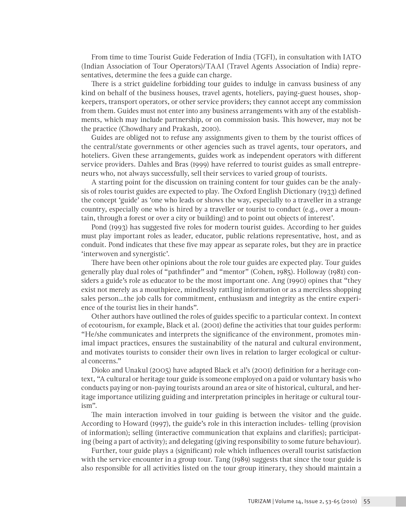From time to time Tourist Guide Federation of India (TGFI), in consultation with IATO (Indian Association of Tour Operators)/TAAI (Travel Agents Association of India) representatives, determine the fees a guide can charge.

There is a strict guideline forbidding tour guides to indulge in canvass business of any kind on behalf of the business houses, travel agents, hoteliers, paying-guest houses, shopkeepers, transport operators, or other service providers; they cannot accept any commission from them. Guides must not enter into any business arrangements with any of the establishments, which may include partnership, or on commission basis. This however, may not be the practice (Chowdhary and Prakash, 2010).

Guides are obliged not to refuse any assignments given to them by the tourist offices of the central/state governments or other agencies such as travel agents, tour operators, and hoteliers. Given these arrangements, guides work as independent operators with different service providers. Dahles and Bras (1999) have referred to tourist guides as small entrepreneurs who, not always successfully, sell their services to varied group of tourists.

A starting point for the discussion on training content for tour guides can be the analysis of roles tourist guides are expected to play. The Oxford English Dictionary (1933) defined the concept 'guide' as 'one who leads or shows the way, especially to a traveller in a strange country, especially one who is hired by a traveller or tourist to conduct (e.g., over a mountain, through a forest or over a city or building) and to point out objects of interest'.

Pond (1993) has suggested five roles for modern tourist guides. According to her guides must play important roles as leader, educator, public relations representative, host, and as conduit. Pond indicates that these five may appear as separate roles, but they are in practice 'interwoven and synergistic'.

There have been other opinions about the role tour guides are expected play. Tour guides generally play dual roles of "pathfinder" and "mentor" (Cohen, 1985). Holloway (1981) considers a guide's role as educator to be the most important one. Ang (1990) opines that "they exist not merely as a mouthpiece, mindlessly rattling information or as a merciless shopping sales person…the job calls for commitment, enthusiasm and integrity as the entire experience of the tourist lies in their hands".

Other authors have outlined the roles of guides specific to a particular context. In context of ecotourism, for example, Black et al. (2001) define the activities that tour guides perform: "He/she communicates and interprets the significance of the environment, promotes minimal impact practices, ensures the sustainability of the natural and cultural environment, and motivates tourists to consider their own lives in relation to larger ecological or cultural concerns."

Dioko and Unakul (2005) have adapted Black et al's (2001) definition for a heritage context, "A cultural or heritage tour guide is someone employed on a paid or voluntary basis who conducts paying or non-paying tourists around an area or site of historical, cultural, and heritage importance utilizing guiding and interpretation principles in heritage or cultural tourism".

The main interaction involved in tour guiding is between the visitor and the guide. According to Howard (1997), the guide's role in this interaction includes- telling (provision of information); selling (interactive communication that explains and clarifies); participating (being a part of activity); and delegating (giving responsibility to some future behaviour).

Further, tour guide plays a (significant) role which influences overall tourist satisfaction with the service encounter in a group tour. Tang (1989) suggests that since the tour guide is also responsible for all activities listed on the tour group itinerary, they should maintain a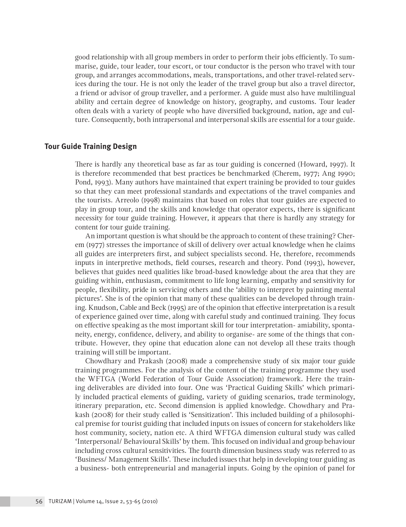good relationship with all group members in order to perform their jobs efficiently. To summarise, guide, tour leader, tour escort, or tour conductor is the person who travel with tour group, and arranges accommodations, meals, transportations, and other travel-related services during the tour. He is not only the leader of the travel group but also a travel director, a friend or advisor of group traveller, and a performer. A guide must also have multilingual ability and certain degree of knowledge on history, geography, and customs. Tour leader often deals with a variety of people who have diversified background, nation, age and culture. Consequently, both intrapersonal and interpersonal skills are essential for a tour guide.

#### **Tour Guide Training Design**

There is hardly any theoretical base as far as tour guiding is concerned (Howard, 1997). It is therefore recommended that best practices be benchmarked (Cherem, 1977; Ang 1990; Pond, 1993). Many authors have maintained that expert training be provided to tour guides so that they can meet professional standards and expectations of the travel companies and the tourists. Arreolo (1998) maintains that based on roles that tour guides are expected to play in group tour, and the skills and knowledge that operator expects, there is significant necessity for tour guide training. However, it appears that there is hardly any strategy for content for tour guide training.

An important question is what should be the approach to content of these training? Cherem (1977) stresses the importance of skill of delivery over actual knowledge when he claims all guides are interpreters first, and subject specialists second. He, therefore, recommends inputs in interpretive methods, field courses, research and theory. Pond (1993), however, believes that guides need qualities like broad-based knowledge about the area that they are guiding within, enthusiasm, commitment to life long learning, empathy and sensitivity for people, flexibility, pride in servicing others and the 'ability to interpret by painting mental pictures'. She is of the opinion that many of these qualities can be developed through training. Knudson, Cable and Beck (1995) are of the opinion that effective interpretation is a result of experience gained over time, along with careful study and continued training. They focus on effective speaking as the most important skill for tour interpretation- amiability, spontaneity, energy, confidence, delivery, and ability to organise- are some of the things that contribute. However, they opine that education alone can not develop all these traits though training will still be important.

Chowdhary and Prakash (2008) made a comprehensive study of six major tour guide training programmes. For the analysis of the content of the training programme they used the WFTGA (World Federation of Tour Guide Association) framework. Here the training deliverables are divided into four. One was 'Practical Guiding Skills' which primarily included practical elements of guiding, variety of guiding scenarios, trade terminology, itinerary preparation, etc. Second dimension is applied knowledge. Chowdhary and Prakash (2008) for their study called is 'Sensitization'. This included building of a philosophical premise for tourist guiding that included inputs on issues of concern for stakeholders like host community, society, nation etc. A third WFTGA dimension cultural study was called 'Interpersonal/ Behavioural Skills' by them. This focused on individual and group behaviour including cross cultural sensitivities. The fourth dimension business study was referred to as 'Business/ Management Skills'. These included issues that help in developing tour guiding as a business- both entrepreneurial and managerial inputs. Going by the opinion of panel for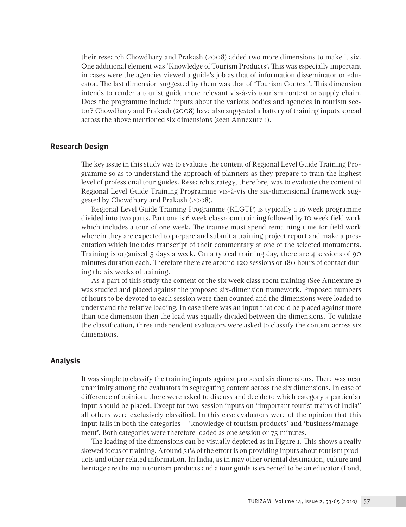their research Chowdhary and Prakash (2008) added two more dimensions to make it six. One additional element was 'Knowledge of Tourism Products'. This was especially important in cases were the agencies viewed a guide's job as that of information disseminator or educator. The last dimension suggested by them was that of 'Tourism Context'. This dimension intends to render a tourist guide more relevant vis-à-vis tourism context or supply chain. Does the programme include inputs about the various bodies and agencies in tourism sector? Chowdhary and Prakash (2008) have also suggested a battery of training inputs spread across the above mentioned six dimensions (seen Annexure 1).

#### **Research Design**

The key issue in this study was to evaluate the content of Regional Level Guide Training Programme so as to understand the approach of planners as they prepare to train the highest level of professional tour guides. Research strategy, therefore, was to evaluate the content of Regional Level Guide Training Programme vis-à-vis the six-dimensional framework suggested by Chowdhary and Prakash (2008).

Regional Level Guide Training Programme (RLGTP) is typically a 16 week programme divided into two parts. Part one is 6 week classroom training followed by 10 week field work which includes a tour of one week. The trainee must spend remaining time for field work wherein they are expected to prepare and submit a training project report and make a presentation which includes transcript of their commentary at one of the selected monuments. Training is organised 5 days a week. On a typical training day, there are 4 sessions of 90 minutes duration each. Therefore there are around 120 sessions or 180 hours of contact during the six weeks of training.

As a part of this study the content of the six week class room training (See Annexure 2) was studied and placed against the proposed six-dimension framework. Proposed numbers of hours to be devoted to each session were then counted and the dimensions were loaded to understand the relative loading. In case there was an input that could be placed against more than one dimension then the load was equally divided between the dimensions. To validate the classification, three independent evaluators were asked to classify the content across six dimensions.

## **Analysis**

It was simple to classify the training inputs against proposed six dimensions. There was near unanimity among the evaluators in segregating content across the six dimensions. In case of difference of opinion, there were asked to discuss and decide to which category a particular input should be placed. Except for two-session inputs on "important tourist trains of India" all others were exclusively classified. In this case evaluators were of the opinion that this input falls in both the categories – 'knowledge of tourism products' and 'business/management'. Both categories were therefore loaded as one session or 75 minutes.

The loading of the dimensions can be visually depicted as in Figure 1. This shows a really skewed focus of training. Around 51% of the effort is on providing inputs about tourism products and other related information. In India, as in may other oriental destination, culture and heritage are the main tourism products and a tour guide is expected to be an educator (Pond,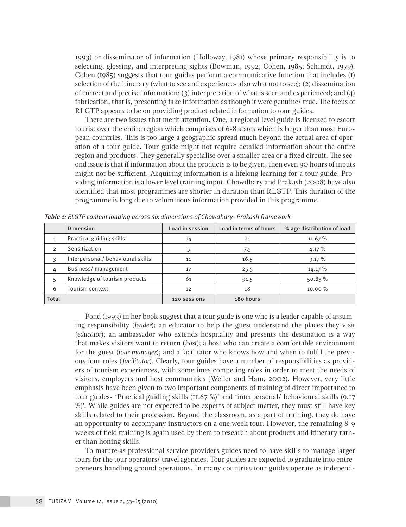1993) or disseminator of information (Holloway, 1981) whose primary responsibility is to selecting, glossing, and interpreting sights (Bowman, 1992; Cohen, 1985; Schimdt, 1979). Cohen (1985) suggests that tour guides perform a communicative function that includes (1) selection of the itinerary (what to see and experience- also what not to see); (2) dissemination of correct and precise information; (3) interpretation of what is seen and experienced; and (4) fabrication, that is, presenting fake information as though it were genuine/ true. The focus of RLGTP appears to be on providing product related information to tour guides.

There are two issues that merit attention. One, a regional level guide is licensed to escort tourist over the entire region which comprises of 6-8 states which is larger than most European countries. This is too large a geographic spread much beyond the actual area of operation of a tour guide. Tour guide might not require detailed information about the entire region and products. They generally specialise over a smaller area or a fixed circuit. The second issue is that if information about the products is to be given, then even 90 hours of inputs might not be sufficient. Acquiring information is a lifelong learning for a tour guide. Providing information is a lower level training input. Chowdhary and Prakash (2008) have also identified that most programmes are shorter in duration than RLGTP. This duration of the programme is long due to voluminous information provided in this programme.

|              | <b>Dimension</b>                 | Load in session | Load in terms of hours | % age distribution of load |
|--------------|----------------------------------|-----------------|------------------------|----------------------------|
|              | Practical guiding skills         | 14              | 21                     | 11.67%                     |
| 2            | Sensitization                    | 5               | 7.5                    | 4.17%                      |
| 3            | Interpersonal/behavioural skills | 11              | 16.5                   | 9.17%                      |
| 4            | Business/management              | 17              | 25.5                   | 14.17%                     |
| 5            | Knowledge of tourism products    | 61              | 91.5                   | 50.83%                     |
| 6            | Tourism context                  | 12              | 18                     | $10.00\%$                  |
| <b>Total</b> |                                  | 120 sessions    | 180 hours              |                            |

*Table 1: RLGTP content loading across six dimensions of Chowdhary- Prakash framework*

Pond (1993) in her book suggest that a tour guide is one who is a leader capable of assuming responsibility (*leader*); an educator to help the guest understand the places they visit (*educator*); an ambassador who extends hospitality and presents the destination is a way that makes visitors want to return (*host*); a host who can create a comfortable environment for the guest (*tour manager*); and a facilitator who knows how and when to fulfil the previous four roles (*facilitator*). Clearly, tour guides have a number of responsibilities as providers of tourism experiences, with sometimes competing roles in order to meet the needs of visitors, employers and host communities (Weiler and Ham, 2002). However, very little emphasis have been given to two important components of training of direct importance to tour guides- 'Practical guiding skills (11.67 %)' and 'interpersonal/ behavioural skills (9.17 %)'. While guides are not expected to be experts of subject matter, they must still have key skills related to their profession. Beyond the classroom, as a part of training, they do have an opportunity to accompany instructors on a one week tour. However, the remaining 8-9 weeks of field training is again used by them to research about products and itinerary rather than honing skills.

To mature as professional service providers guides need to have skills to manage larger tours for the tour operators/ travel agencies. Tour guides are expected to graduate into entrepreneurs handling ground operations. In many countries tour guides operate as independ-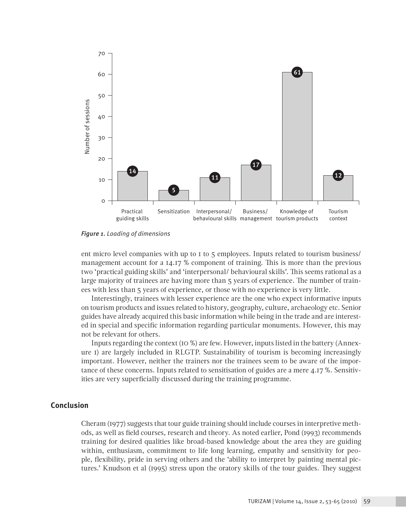

*Figure 1. Loading of dimensions*

ent micro level companies with up to 1 to 5 employees. Inputs related to tourism business/ management account for a 14.17 % component of training. This is more than the previous two 'practical guiding skills' and 'interpersonal/ behavioural skills'. This seems rational as a large majority of trainees are having more than 5 years of experience. The number of trainees with less than 5 years of experience, or those with no experience is very little.

Interestingly, trainees with lesser experience are the one who expect informative inputs on tourism products and issues related to history, geography, culture, archaeology etc. Senior guides have already acquired this basic information while being in the trade and are interested in special and specific information regarding particular monuments. However, this may not be relevant for others.

Inputs regarding the context (10 %) are few. However, inputs listed in the battery (Annexure 1) are largely included in RLGTP. Sustainability of tourism is becoming increasingly important. However, neither the trainers nor the trainees seem to be aware of the importance of these concerns. Inputs related to sensitisation of guides are a mere 4.17 %. Sensitivities are very superficially discussed during the training programme.

## **Conclusion**

Cheram (1977) suggests that tour guide training should include courses in interpretive methods, as well as field courses, research and theory. As noted earlier, Pond (1993) recommends training for desired qualities like broad-based knowledge about the area they are guiding within, enthusiasm, commitment to life long learning, empathy and sensitivity for people, flexibility, pride in serving others and the 'ability to interpret by painting mental pictures.' Knudson et al (1995) stress upon the oratory skills of the tour guides. They suggest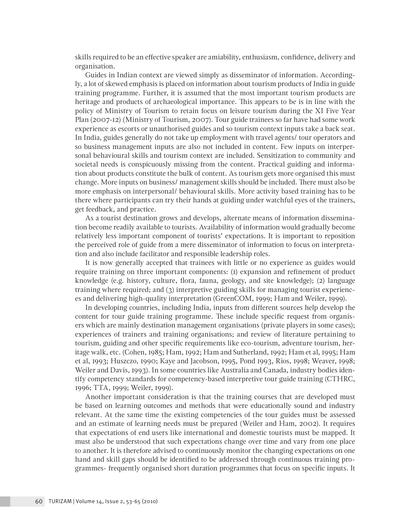skills required to be an effective speaker are amiability, enthusiasm, confidence, delivery and organisation.

Guides in Indian context are viewed simply as disseminator of information. Accordingly, a lot of skewed emphasis is placed on information about tourism products of India in guide training programme. Further, it is assumed that the most important tourism products are heritage and products of archaeological importance. This appears to be is in line with the policy of Ministry of Tourism to retain focus on leisure tourism during the XI Five Year Plan (2007-12) (Ministry of Tourism, 2007). Tour guide trainees so far have had some work experience as escorts or unauthorised guides and so tourism context inputs take a back seat. In India, guides generally do not take up employment with travel agents/ tour operators and so business management inputs are also not included in content. Few inputs on interpersonal behavioural skills and tourism context are included. Sensitization to community and societal needs is conspicuously missing from the content. Practical guiding and information about products constitute the bulk of content. As tourism gets more organised this must change. More inputs on business/ management skills should be included. There must also be more emphasis on interpersonal/ behavioural skills. More activity based training has to be there where participants can try their hands at guiding under watchful eyes of the trainers, get feedback, and practice.

As a tourist destination grows and develops, alternate means of information dissemination become readily available to tourists. Availability of information would gradually become relatively less important component of tourists' expectations. It is important to reposition the perceived role of guide from a mere disseminator of information to focus on interpretation and also include facilitator and responsible leadership roles.

It is now generally accepted that trainees with little or no experience as guides would require training on three important components: (1) expansion and refinement of product knowledge (e.g. history, culture, flora, fauna, geology, and site knowledge); (2) language training where required; and (3) interpretive guiding skills for managing tourist experiences and delivering high-quality interpretation (GreenCOM, 1999; Ham and Weiler, 1999).

In developing countries, including India, inputs from different sources help develop the content for tour guide training programme. These include specific request from organisers which are mainly destination management organisations (private players in some cases); experiences of trainers and training organisations; and review of literature pertaining to tourism, guiding and other specific requirements like eco-tourism, adventure tourism, heritage walk, etc. (Cohen, 1985; Ham, 1992; Ham and Sutherland, 1992; Ham et al, 1995; Ham et al, 1993; Huszczo, 1990; Kaye and Jacobson, 1995, Pond 1993, Rios, 1998; Weaver, 1998; Weiler and Davis, 1993). In some countries like Australia and Canada, industry bodies identify competency standards for competency-based interpretive tour guide training (CTHRC, 1996; TTA, 1999; Weiler, 1999).

Another important consideration is that the training courses that are developed must be based on learning outcomes and methods that were educationally sound and industry relevant. At the same time the existing competencies of the tour guides must be assessed and an estimate of learning needs must be prepared (Weiler and Ham, 2002). It requires that expectations of end users like international and domestic tourists must be mapped. It must also be understood that such expectations change over time and vary from one place to another. It is therefore advised to continuously monitor the changing expectations on one hand and skill gaps should be identified to be addressed through continuous training programmes- frequently organised short duration programmes that focus on specific inputs. It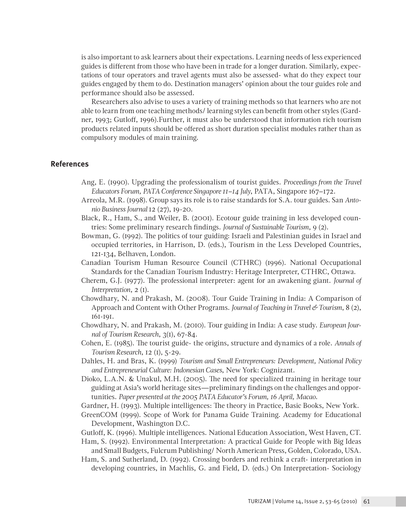is also important to ask learners about their expectations. Learning needs of less experienced guides is different from those who have been in trade for a longer duration. Similarly, expectations of tour operators and travel agents must also be assessed- what do they expect tour guides engaged by them to do. Destination managers' opinion about the tour guides role and performance should also be assessed.

Researchers also advise to uses a variety of training methods so that learners who are not able to learn from one teaching methods/ learning styles can benefit from other styles (Gardner, 1993; Gutloff, 1996).Further, it must also be understood that information rich tourism products related inputs should be offered as short duration specialist modules rather than as compulsory modules of main training.

## **References**

- Ang, E. (1990). Upgrading the professionalism of tourist guides. *Proceedings from the Travel Educators Forum, PATA Conference Singapore 11–14 July*, PATA, Singapore 167–172.
- Arreola, M.R. (1998). Group says its role is to raise standards for S.A. tour guides. San *Antonio Business Journal* 12 (27), 19-20.
- Black, R., Ham, S., and Weiler, B. (2001). Ecotour guide training in less developed countries: Some preliminary research findings. *Journal of Sustainable Tourism*, 9 (2).
- Bowman, G. (1992). The politics of tour guiding: Israeli and Palestinian guides in Israel and occupied territories, in Harrison, D. (eds.), Tourism in the Less Developed Countries, 121-134, Belhaven, London.
- Canadian Tourism Human Resource Council (CTHRC) (1996). National Occupational Standards for the Canadian Tourism Industry: Heritage Interpreter, CTHRC, Ottawa.
- Cherem, G.J. (1977). The professional interpreter: agent for an awakening giant. *Journal of Interpretation*, 2 (1).
- Chowdhary, N. and Prakash, M. (2008). Tour Guide Training in India: A Comparison of Approach and Content with Other Programs. *Journal of Teaching in Travel & Tourism*, 8 (2), 161-191.
- Chowdhary, N. and Prakash, M. (2010). Tour guiding in India: A case study. *European Journal of Tourism Research*, 3(1), 67-84.
- Cohen, E. (1985). The tourist guide- the origins, structure and dynamics of a role. *Annals of Tourism Research*, 12 (1), 5-29.
- Dahles, H. and Bras, K. (1999) *Tourism and Small Entrepreneurs: Development, National Policy and Entrepreneurial Culture: Indonesian Cases*, New York: Cognizant.
- Dioko, L.A.N. & Unakul, M.H. (2005). The need for specialized training in heritage tour guiding at Asia's world heritage sites—preliminary findings on the challenges and opportunities. *Paper presented at the 2005 PATA Educator's Forum, 16 April, Macao*.
- Gardner, H. (1993). Multiple intelligences: The theory in Practice, Basic Books, New York.
- GreenCOM (1999). Scope of Work for Panama Guide Training. Academy for Educational Development, Washington D.C.
- Gutloff, K. (1996). Multiple intelligences. National Education Association, West Haven, CT.
- Ham, S. (1992). Environmental Interpretation: A practical Guide for People with Big Ideas and Small Budgets, Fulcrum Publishing/ North American Press, Golden, Colorado, USA.
- Ham, S. and Sutherland, D. (1992). Crossing borders and rethink a craft- interpretation in developing countries, in Machlis, G. and Field, D. (eds.) On Interpretation- Sociology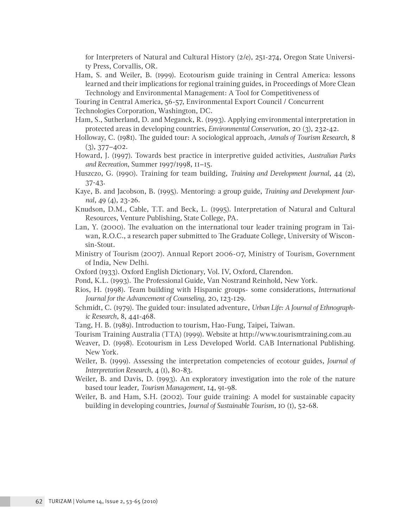for Interpreters of Natural and Cultural History (2/e), 251-274, Oregon State University Press, Corvallis, OR.

- Ham, S. and Weiler, B. (1999). Ecotourism guide training in Central America: lessons learned and their implications for regional training guides, in Proceedings of More Clean Technology and Environmental Management: A Tool for Competitiveness of
- Touring in Central America, 56-57, Environmental Export Council / Concurrent
- Technologies Corporation, Washington, DC.
- Ham, S., Sutherland, D. and Meganck, R. (1993). Applying environmental interpretation in protected areas in developing countries, *Environmental Conservation*, 20 (3), 232-42.
- Holloway, C. (1981). The guided tour: A sociological approach, *Annals of Tourism Research*, 8 (3), 377–402.
- Howard, J. (1997). Towards best practice in interpretive guided activities, *Australian Parks and Recreation*, Summer 1997/1998, 11–15.
- Huszczo, G. (1990). Training for team building, *Training and Development Journal*, 44 (2), 37-43.
- Kaye, B. and Jacobson, B. (1995). Mentoring: a group guide, *Training and Development Journal*, 49 (4), 23-26.
- Knudson, D.M., Cable, T.T. and Beck, L. (1995). Interpretation of Natural and Cultural Resources, Venture Publishing, State College, PA.
- Lan, Y. (2000). The evaluation on the international tour leader training program in Taiwan, R.O.C., a research paper submitted to The Graduate College, University of Wisconsin-Stout.
- Ministry of Tourism (2007). Annual Report 2006-07, Ministry of Tourism, Government of India, New Delhi.
- Oxford (1933). Oxford English Dictionary, Vol. IV, Oxford, Clarendon.
- Pond, K.L. (1993). The Professional Guide, Van Nostrand Reinhold, New York.
- Rios, H. (1998). Team building with Hispanic groups- some considerations, *International Journal for the Advancement of Counseling*, 20, 123-129.
- Schmidt, C. (1979). The guided tour: insulated adventure, *Urban Life: A Journal of Ethnographic Research*, 8, 441-468.
- Tang, H. B. (1989). Introduction to tourism, Hao-Fung, Taipei, Taiwan.
- Tourism Training Australia (TTA) (1999). Website at http://www.tourismtraining.com.au
- Weaver, D. (1998). Ecotourism in Less Developed World. CAB International Publishing. New York.
- Weiler, B. (1999). Assessing the interpretation competencies of ecotour guides, *Journal of Interpretation Research*, 4 (1), 80-83.
- Weiler, B. and Davis, D. (1993). An exploratory investigation into the role of the nature based tour leader, *Tourism Management*, 14, 91-98.
- Weiler, B. and Ham, S.H. (2002). Tour guide training: A model for sustainable capacity building in developing countries, *Journal of Sustainable Tourism*, 10 (1), 52-68.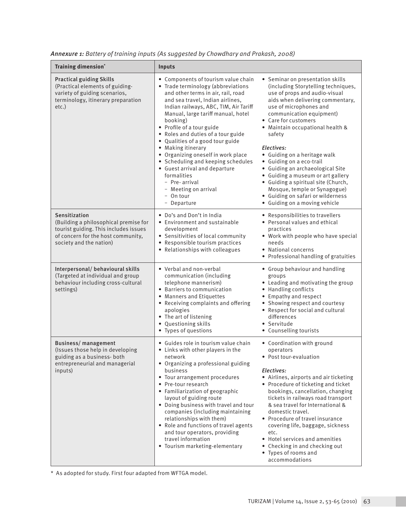| <b>Training dimension*</b>                                                                                                                                       | Inputs                                                                                                                                                                                                                                                                                                                                                                                                                                                                                                                                                                       |                                                                                                                                                                                                                                                                                                                                                                                                                                                                                                                                                                          |  |  |
|------------------------------------------------------------------------------------------------------------------------------------------------------------------|------------------------------------------------------------------------------------------------------------------------------------------------------------------------------------------------------------------------------------------------------------------------------------------------------------------------------------------------------------------------------------------------------------------------------------------------------------------------------------------------------------------------------------------------------------------------------|--------------------------------------------------------------------------------------------------------------------------------------------------------------------------------------------------------------------------------------------------------------------------------------------------------------------------------------------------------------------------------------------------------------------------------------------------------------------------------------------------------------------------------------------------------------------------|--|--|
| <b>Practical guiding Skills</b><br>(Practical elements of guiding-<br>variety of guiding scenarios,<br>terminology, itinerary preparation<br>etc.)               | • Components of tourism value chain<br>• Trade terminology (abbreviations<br>and other terms in air, rail, road<br>and sea travel, Indian airlines,<br>Indian railways, ABC, TIM, Air Tariff<br>Manual, large tariff manual, hotel<br>booking)<br>• Profile of a tour guide<br>• Roles and duties of a tour guide<br>• Qualities of a good tour guide<br>• Making itinerary<br>• Organizing oneself in work place<br>• Scheduling and keeping schedules<br>• Guest arrival and departure<br>formalities<br>- Pre-arrival<br>- Meeting on arrival<br>- On tour<br>- Departure | • Seminar on presentation skills<br>(including Storytelling techniques,<br>use of props and audio-visual<br>aids when delivering commentary,<br>use of microphones and<br>communication equipment)<br>• Care for customers<br>• Maintain occupational health &<br>safety<br>Electives:<br>• Guiding on a heritage walk<br>• Guiding on a eco-trail<br>· Guiding an archaeological Site<br>• Guiding a museum or art gallery<br>• Guiding a spiritual site (Church,<br>Mosque, temple or Synagogue)<br>• Guiding on safari or wilderness<br>• Guiding on a moving vehicle |  |  |
| Sensitization<br>(Building a philosophical premise for<br>tourist guiding. This includes issues<br>of concern for the host community,<br>society and the nation) | • Do's and Don't in India<br>• Environment and sustainable<br>development<br>• Sensitivities of local community<br>• Responsible tourism practices<br>• Relationships with colleagues                                                                                                                                                                                                                                                                                                                                                                                        | • Responsibilities to travellers<br>• Personal values and ethical<br>practices<br>• Work with people who have special<br>needs<br>• National concerns<br>• Professional handling of gratuities                                                                                                                                                                                                                                                                                                                                                                           |  |  |
| Interpersonal/ behavioural skills<br>(Targeted at individual and group<br>behaviour including cross-cultural<br>settings)                                        | • Verbal and non-verbal<br>communication (including<br>telephone mannerism)<br>• Barriers to communication<br>• Manners and Etiquettes<br>• Receiving complaints and offering<br>apologies<br>• The art of listening<br>• Questioning skills<br>• Types of questions                                                                                                                                                                                                                                                                                                         | • Group behaviour and handling<br>groups<br>• Leading and motivating the group<br>• Handling conflicts<br>• Empathy and respect<br>• Showing respect and courtesy<br>• Respect for social and cultural<br>differences<br>• Servitude<br>• Counselling tourists                                                                                                                                                                                                                                                                                                           |  |  |
| <b>Business/management</b><br>(Issues those help in developing<br>guiding as a business-both<br>entrepreneurial and managerial<br>inputs)                        | • Guides role in tourism value chain<br>• Links with other players in the<br>network<br>• Organizing a professional guiding<br>business<br>• Tour arrangement procedures<br>• Pre-tour research<br>• Familiarization of geographic<br>layout of guiding route<br>• Doing business with travel and tour<br>companies (including maintaining<br>relationships with them)<br>• Role and functions of travel agents<br>and tour operators, providing<br>travel information<br>• Tourism marketing-elementary                                                                     | • Coordination with ground<br>operators<br>• Post tour-evaluation<br>Electives:<br>• Airlines, airports and air ticketing<br>• Procedure of ticketing and ticket<br>bookings, cancellation, changing<br>tickets in railways road transport<br>& sea travel for International &<br>domestic travel.<br>• Procedure of travel insurance<br>covering life, baggage, sickness<br>etc.<br>• Hotel services and amenities<br>• Checking in and checking out<br>• Types of rooms and<br>accommodations                                                                          |  |  |

*Annexure 1: Battery of training inputs (As suggested by Chowdhary and Prakash, 2008)*

\* As adopted for study. First four adapted from WFTGA model.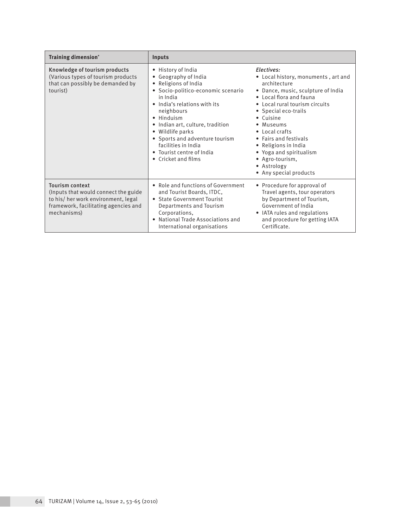| Training dimension*                                                                                                                                         | Inputs                                                                                                                                                                                                                                                                                                                                                |                                                                                                                                                                                                                                                                                                                                                                                          |  |
|-------------------------------------------------------------------------------------------------------------------------------------------------------------|-------------------------------------------------------------------------------------------------------------------------------------------------------------------------------------------------------------------------------------------------------------------------------------------------------------------------------------------------------|------------------------------------------------------------------------------------------------------------------------------------------------------------------------------------------------------------------------------------------------------------------------------------------------------------------------------------------------------------------------------------------|--|
| Knowledge of tourism products<br>(Various types of tourism products<br>that can possibly be demanded by<br>tourist)                                         | • History of India<br>• Geography of India<br>• Religions of India<br>· Socio-politico-economic scenario<br>in India<br>• India's relations with its<br>neighbours<br>• Hinduism<br>• Indian art, culture, tradition<br>• Wildlife parks<br>• Sports and adventure tourism<br>facilities in India<br>• Tourist centre of India<br>• Cricket and films | Electives:<br>• Local history, monuments, art and<br>architecture<br>• Dance, music, sculpture of India<br>• Local flora and fauna<br>• Local rural tourism circuits<br>• Special eco-trails<br>$\bullet$ Cuisine<br>• Museums<br>• Local crafts<br>• Fairs and festivals<br>• Religions in India<br>• Yoga and spiritualism<br>• Agro-tourism,<br>• Astrology<br>• Any special products |  |
| <b>Tourism context</b><br>(Inputs that would connect the guide<br>to his/her work environment, legal<br>framework, facilitating agencies and<br>mechanisms) | • Role and functions of Government<br>and Tourist Boards, ITDC,<br>• State Government Tourist<br>Departments and Tourism<br>Corporations,<br>• National Trade Associations and<br>International organisations                                                                                                                                         | • Procedure for approval of<br>Travel agents, tour operators<br>by Department of Tourism,<br>Government of India<br>• IATA rules and regulations<br>and procedure for getting IATA<br>Certificate.                                                                                                                                                                                       |  |